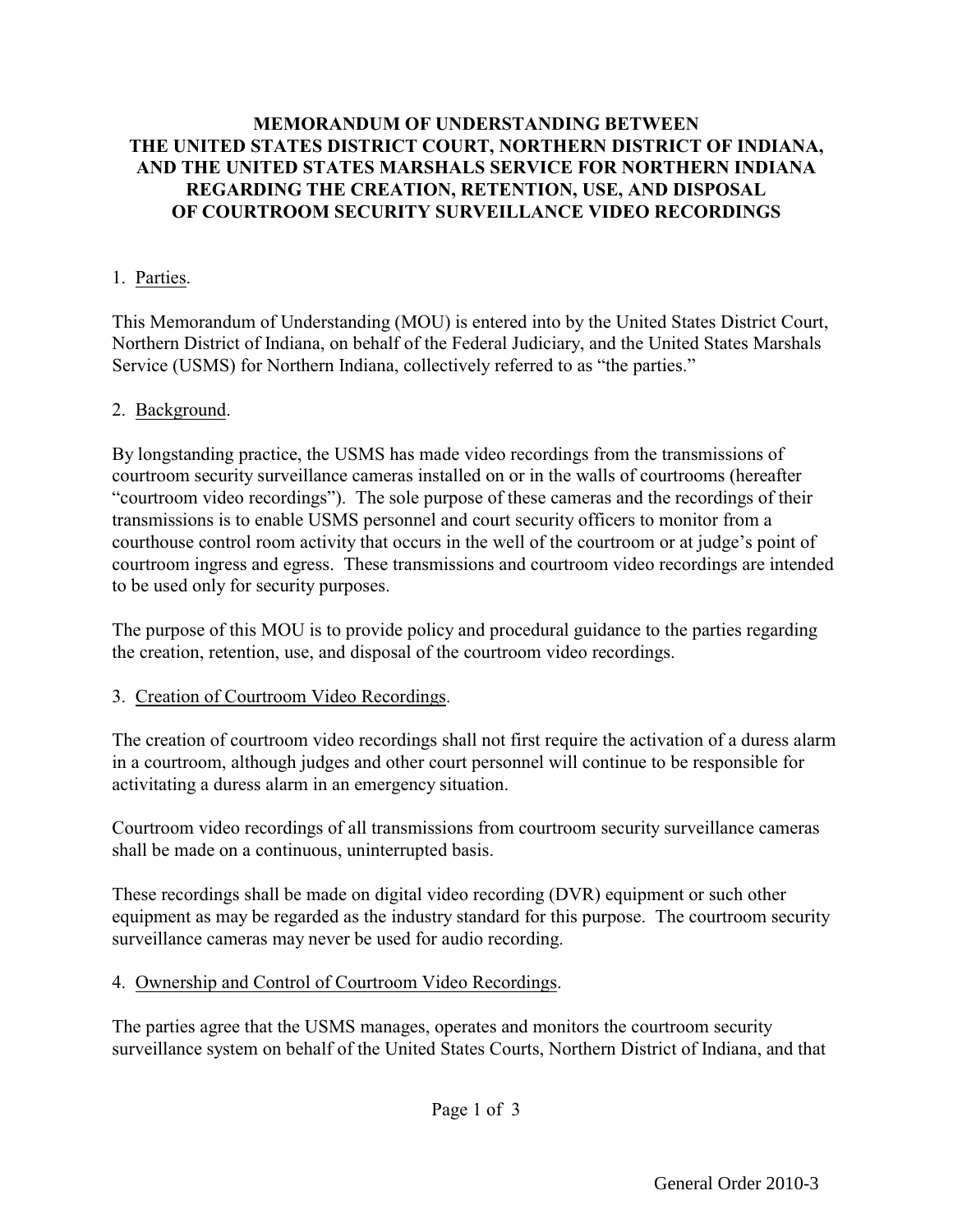## **MEMORANDUM OF UNDERSTANDING BETWEEN THE UNITED STATES DISTRICT COURT, NORTHERN DISTRICT OF INDIANA, AND THE UNITED STATES MARSHALS SERVICE FOR NORTHERN INDIANA REGARDING THE CREATION, RETENTION, USE, AND DISPOSAL OF COURTROOM SECURITY SURVEILLANCE VIDEO RECORDINGS**

## 1. Parties.

This Memorandum of Understanding (MOU) is entered into by the United States District Court, Northern District of Indiana, on behalf of the Federal Judiciary, and the United States Marshals Service (USMS) for Northern Indiana, collectively referred to as "the parties."

### 2. Background.

By longstanding practice, the USMS has made video recordings from the transmissions of courtroom security surveillance cameras installed on or in the walls of courtrooms (hereafter "courtroom video recordings"). The sole purpose of these cameras and the recordings of their transmissions is to enable USMS personnel and court security officers to monitor from a courthouse control room activity that occurs in the well of the courtroom or at judge's point of courtroom ingress and egress. These transmissions and courtroom video recordings are intended to be used only for security purposes.

The purpose of this MOU is to provide policy and procedural guidance to the parties regarding the creation, retention, use, and disposal of the courtroom video recordings.

### 3. Creation of Courtroom Video Recordings.

The creation of courtroom video recordings shall not first require the activation of a duress alarm in a courtroom, although judges and other court personnel will continue to be responsible for activitating a duress alarm in an emergency situation.

Courtroom video recordings of all transmissions from courtroom security surveillance cameras shall be made on a continuous, uninterrupted basis.

These recordings shall be made on digital video recording (DVR) equipment or such other equipment as may be regarded as the industry standard for this purpose. The courtroom security surveillance cameras may never be used for audio recording.

#### 4. Ownership and Control of Courtroom Video Recordings.

The parties agree that the USMS manages, operates and monitors the courtroom security surveillance system on behalf of the United States Courts, Northern District of Indiana, and that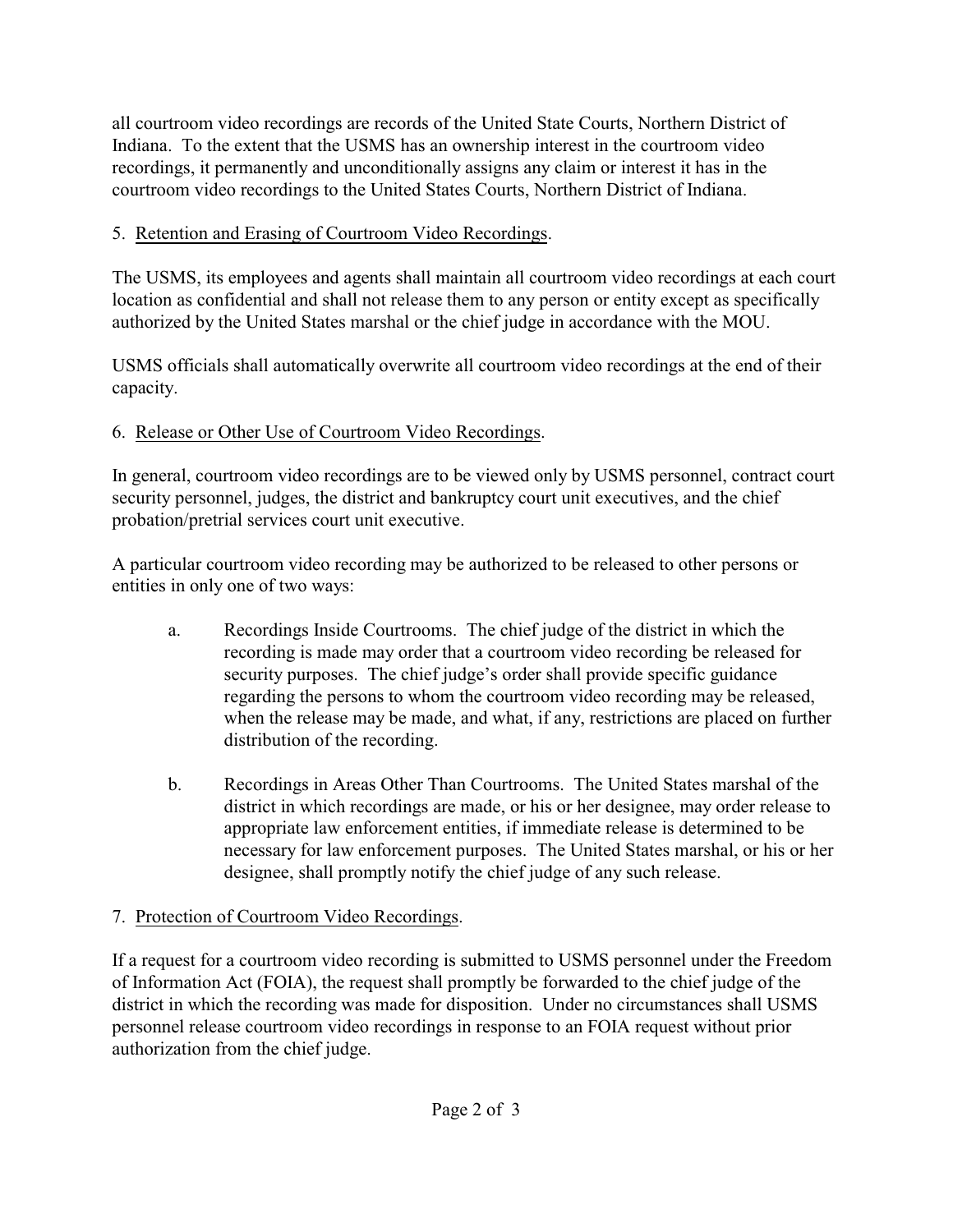all courtroom video recordings are records of the United State Courts, Northern District of Indiana. To the extent that the USMS has an ownership interest in the courtroom video recordings, it permanently and unconditionally assigns any claim or interest it has in the courtroom video recordings to the United States Courts, Northern District of Indiana.

## 5. Retention and Erasing of Courtroom Video Recordings.

The USMS, its employees and agents shall maintain all courtroom video recordings at each court location as confidential and shall not release them to any person or entity except as specifically authorized by the United States marshal or the chief judge in accordance with the MOU.

USMS officials shall automatically overwrite all courtroom video recordings at the end of their capacity.

## 6. Release or Other Use of Courtroom Video Recordings.

In general, courtroom video recordings are to be viewed only by USMS personnel, contract court security personnel, judges, the district and bankruptcy court unit executives, and the chief probation/pretrial services court unit executive.

A particular courtroom video recording may be authorized to be released to other persons or entities in only one of two ways:

- a. Recordings Inside Courtrooms. The chief judge of the district in which the recording is made may order that a courtroom video recording be released for security purposes. The chief judge's order shall provide specific guidance regarding the persons to whom the courtroom video recording may be released, when the release may be made, and what, if any, restrictions are placed on further distribution of the recording.
- b. Recordings in Areas Other Than Courtrooms. The United States marshal of the district in which recordings are made, or his or her designee, may order release to appropriate law enforcement entities, if immediate release is determined to be necessary for law enforcement purposes. The United States marshal, or his or her designee, shall promptly notify the chief judge of any such release.

# 7. Protection of Courtroom Video Recordings.

If a request for a courtroom video recording is submitted to USMS personnel under the Freedom of Information Act (FOIA), the request shall promptly be forwarded to the chief judge of the district in which the recording was made for disposition. Under no circumstances shall USMS personnel release courtroom video recordings in response to an FOIA request without prior authorization from the chief judge.